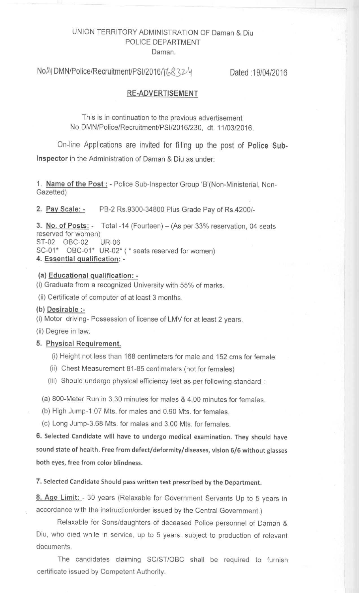# UNION TERRITORY ADMINISTRATION **OF Daman & Diu** POLICE DEPARTMENT **Daman.**

No.5) DMN/Police/Recruitment/PSI/2016/16832 4 Dated :19/04/2016

### **RE-ADVERTISEMENT**

This is in continuation to the previous advertisement No.DMN/Police/Recruitment/PSI/2016/230, dt. 11/03/2016.

On-line Applications are invited for filling up the post **of Police Sub-Inspector** in the Administration of Daman & Diu as under:

**1. Name of the** Post : - Police Sub-Inspector Group 'B'(Non-Ministerial, Non-Gazetted)

**2. Pay Scale** : - PB-2 Rs.9300-34800 Plus Grade Pay of Rs.4200/-

**3. No. of Posts:** - Total -14 (Fourteen) - (As per 33% reservation, 04 seats reserved for women) ST-02 OBC-02 UR-06 SC-01\* OBC-01\* UR-02\* (\* seats reserved for women) **4. Essential qualification: -**

### **(a) Educational qualification: -**

(i) Graduate from a recognized University with 55% of marks.

(ii) Certificate of computer of at least 3 months.

### **(b) Desirable :-**

(i) Motor driving- Possession of license of LMV for at least 2 years.

(ii) Degree in law.

# **5. Physical Requirement.**

- (i) Height not less than 168 centimeters for male and 152 cms for female
- (ii) Chest Measurement 81-85 centimeters (not for females)
- (iii) Should undergo physical efficiency test as per following standard:

(a) 800-Meter Run in 3.30 minutes for males & 4.00 minutes for females.

- (b) High Jump-1.07 Mts. for males and 0.90 Mts. for females.
- (c) Long Jump-3.68 Mts. for males and 3.00 Mts. for females.

**6. Selected Candidate will have to undergo medical examination** . **They should have sound state of health** . **Free from defect** /**deformity**/**diseases**, **vision 6**/**6 without glasses both eyes**, **free from color blindness.**

**7. Selected Candidate Should pass written test prescribed by the Department.**

**8. Age** Limit: - 30 years (Relaxable for Government Servants Up to 5 years in accordance with the instruction/order issued by the Central Government.)

Relaxable for Sons/daughters of deceased Police personnel of Daman & Diu, who died while in service, up to 5 years, subject to production of relevant documents.

The candidates claiming SC/ST/OBC shall be required to furnish certificate issued by Competent Authority.